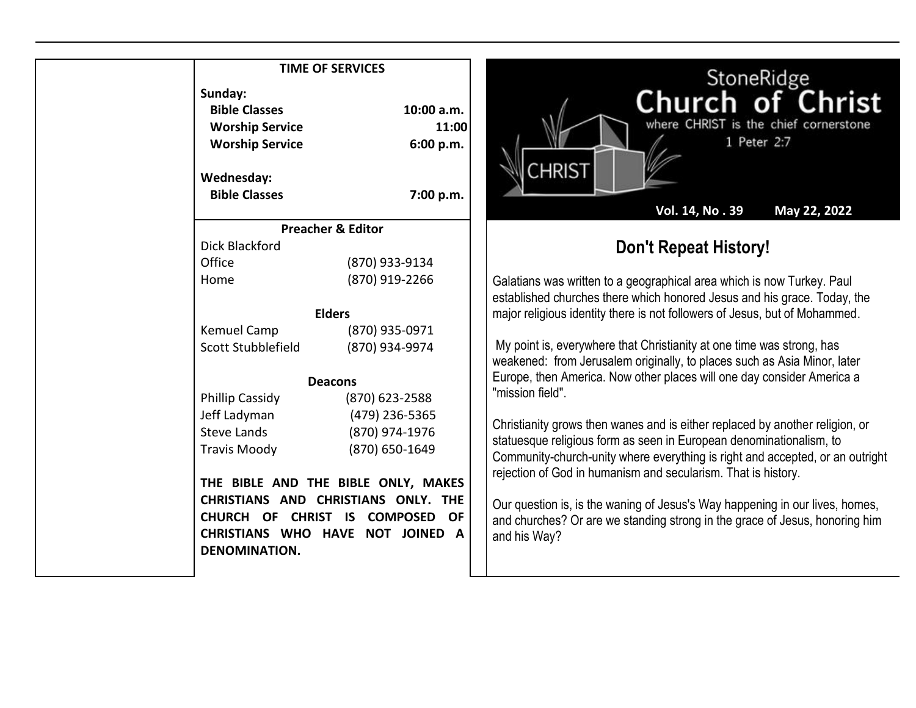## **TIME OF SERVICES**

| Sunday:<br><b>Bible Classes</b><br><b>Worship Service</b><br><b>Worship Service</b> | 10:00 a.m.<br>11:00<br>6:00 p.m.                                                                                                               |
|-------------------------------------------------------------------------------------|------------------------------------------------------------------------------------------------------------------------------------------------|
| Wednesday:<br><b>Bible Classes</b>                                                  | 7:00 p.m.                                                                                                                                      |
|                                                                                     | <b>Preacher &amp; Editor</b>                                                                                                                   |
| Dick Blackford                                                                      |                                                                                                                                                |
| Office                                                                              | (870) 933-9134                                                                                                                                 |
| Home                                                                                | (870) 919-2266                                                                                                                                 |
|                                                                                     | <b>Elders</b>                                                                                                                                  |
| Kemuel Camp                                                                         | (870) 935-0971                                                                                                                                 |
| Scott Stubblefield                                                                  | (870) 934-9974                                                                                                                                 |
|                                                                                     | <b>Deacons</b>                                                                                                                                 |
| Phillip Cassidy                                                                     | (870) 623-2588                                                                                                                                 |
| Jeff Ladyman                                                                        | (479) 236-5365                                                                                                                                 |
| <b>Steve Lands</b>                                                                  | (870) 974-1976                                                                                                                                 |
| <b>Travis Moody</b>                                                                 | (870) 650-1649                                                                                                                                 |
| CHURCH OF<br><b>DENOMINATION.</b>                                                   | THE BIBLE AND THE BIBLE ONLY, MAKES<br>CHRISTIANS AND CHRISTIANS ONLY. THE<br>CHRIST IS COMPOSED<br>OF.<br>CHRISTIANS WHO HAVE NOT JOINED<br>A |



## **Don't Repeat History!**

Galatians was written to a geographical area which is now Turkey. Paul established churches there which honored Jesus and his grace. Today, the major religious identity there is not followers of Jesus, but of Mohammed.

My point is, everywhere that Christianity at one time was strong, has weakened: from Jerusalem originally, to places such as Asia Minor, later Europe, then America. Now other places will one day consider America a "mission field".

Christianity grows then wanes and is either replaced by another religion, or statuesque religious form as seen in European denominationalism, to Community-church-unity where everything is right and accepted, or an outright rejection of God in humanism and secularism. That is history.

Our question is, is the waning of Jesus's Way happening in our lives, homes, and churches? Or are we standing strong in the grace of Jesus, honoring him and his Way?